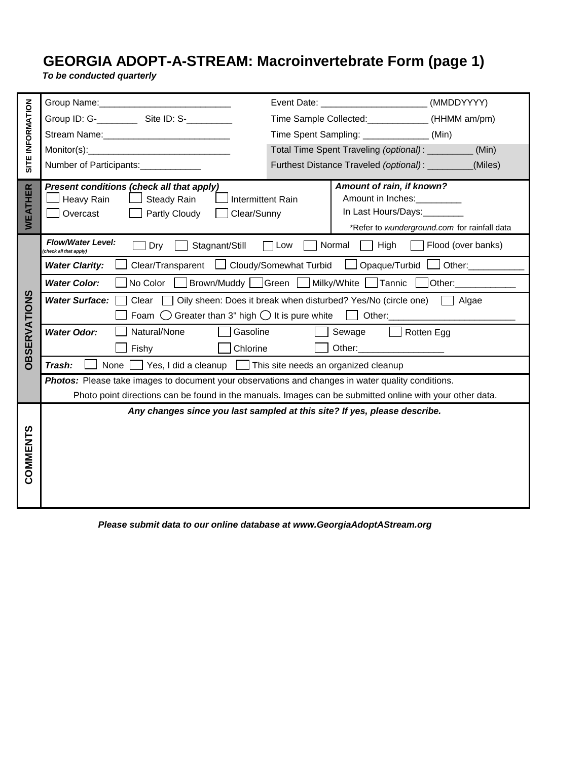## **BACTERIA<br>BACTERIA<br>BACTERIO CHEMICAL GEORGIA (Page 1)**<br>BACTERIA: Macroinvertebrate Form (page 1)

*To be conducted quarterly*

| SITE INFORMATION    |                                                                                                                                                                                                                                                                                                                    |                                                  | Event Date: __________________________               | (MMDDYYYY) |  |
|---------------------|--------------------------------------------------------------------------------------------------------------------------------------------------------------------------------------------------------------------------------------------------------------------------------------------------------------------|--------------------------------------------------|------------------------------------------------------|------------|--|
|                     |                                                                                                                                                                                                                                                                                                                    | Time Sample Collected: ____________ (HHMM am/pm) |                                                      |            |  |
|                     |                                                                                                                                                                                                                                                                                                                    |                                                  | Time Spent Sampling: _______________(Min)            |            |  |
|                     | Monitor(s): Monitor(s) = Note that the set of the set of the set of the set of the set of the set of the set of the set of the set of the set of the set of the set of the set of the set of the set of the set of the set of                                                                                      |                                                  | Total Time Spent Traveling (optional): _________     | (Min)      |  |
|                     | Number of Participants:                                                                                                                                                                                                                                                                                            | Furthest Distance Traveled (optional): ________  |                                                      | (Miles)    |  |
| WEATHER             | Present conditions (check all that apply)                                                                                                                                                                                                                                                                          |                                                  | Amount of rain, if known?                            |            |  |
|                     | <b>Intermittent Rain</b><br>Heavy Rain<br><b>Steady Rain</b>                                                                                                                                                                                                                                                       |                                                  | Amount in Inches:<br><u>[</u> [11] Amount in Inches: |            |  |
|                     | Overcast<br>Partly Cloudy<br>Clear/Sunny                                                                                                                                                                                                                                                                           |                                                  | In Last Hours/Days:________                          |            |  |
|                     | *Refer to wunderground.com for rainfall data<br><b>Flow/Water Level:</b>                                                                                                                                                                                                                                           |                                                  |                                                      |            |  |
| <b>OBSERVATIONS</b> | High<br>Normal<br>Flood (over banks)<br>Stagnant/Still<br>Dry<br>Low<br>(check all that apply)                                                                                                                                                                                                                     |                                                  |                                                      |            |  |
|                     | Cloudy/Somewhat Turbid<br>Clear/Transparent<br>Opaque/Turbid l<br>Other:____________<br><b>Water Clarity:</b>                                                                                                                                                                                                      |                                                  |                                                      |            |  |
|                     | Milky/White Tannic [<br>No Color<br>Brown/Muddy   Green  <br><b>Water Color:</b><br>Other: and the state of the state of the state of the state of the state of the state of the state of the state of the state of the state of the state of the state of the state of the state of the state of the state of the |                                                  |                                                      |            |  |
|                     | <b>Water Surface:</b><br>Oily sheen: Does it break when disturbed? Yes/No (circle one)<br>Clear<br>$\Box$ Algae                                                                                                                                                                                                    |                                                  |                                                      |            |  |
|                     | Greater than 3" high $\bigcirc$ It is pure white $\Box$<br>Foam $\bigcirc$<br>Other: the contract of the contract of the contract of the contract of the contract of the contract of the contract of the contract of the contract of the contract of the contract of the contract of the contract of the con       |                                                  |                                                      |            |  |
|                     | Natural/None<br>Gasoline<br><b>Water Odor:</b>                                                                                                                                                                                                                                                                     | Sewage<br>Rotten Egg                             |                                                      |            |  |
|                     | Chlorine<br>Fishy                                                                                                                                                                                                                                                                                                  |                                                  | Other: ______________________                        |            |  |
|                     | Trash:<br>None<br>$\Box$ Yes, I did a cleanup $\Box$ This site needs an organized cleanup                                                                                                                                                                                                                          |                                                  |                                                      |            |  |
|                     | <b>Photos:</b> Please take images to document your observations and changes in water quality conditions.                                                                                                                                                                                                           |                                                  |                                                      |            |  |
|                     | Photo point directions can be found in the manuals. Images can be submitted online with your other data.                                                                                                                                                                                                           |                                                  |                                                      |            |  |
|                     | Any changes since you last sampled at this site? If yes, please describe.                                                                                                                                                                                                                                          |                                                  |                                                      |            |  |
|                     |                                                                                                                                                                                                                                                                                                                    |                                                  |                                                      |            |  |
|                     |                                                                                                                                                                                                                                                                                                                    |                                                  |                                                      |            |  |
| COMMENTS            |                                                                                                                                                                                                                                                                                                                    |                                                  |                                                      |            |  |
|                     |                                                                                                                                                                                                                                                                                                                    |                                                  |                                                      |            |  |
|                     |                                                                                                                                                                                                                                                                                                                    |                                                  |                                                      |            |  |
|                     |                                                                                                                                                                                                                                                                                                                    |                                                  |                                                      |            |  |

 *Please submit data to our online database at www.GeorgiaAdoptAStream.org*